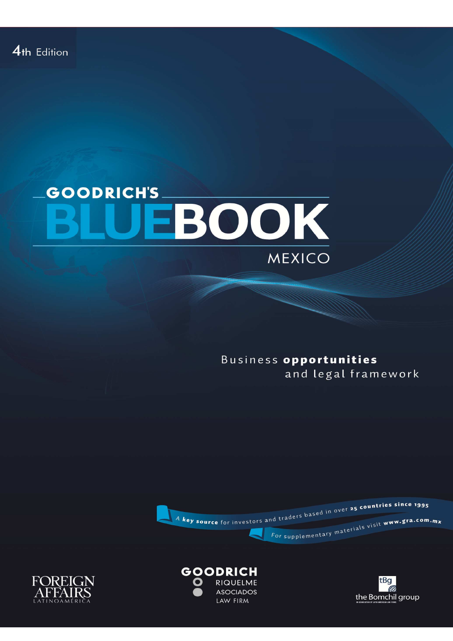## **GOODRICH'S** EBOOK MEXICO

Business opportunities and legal framework







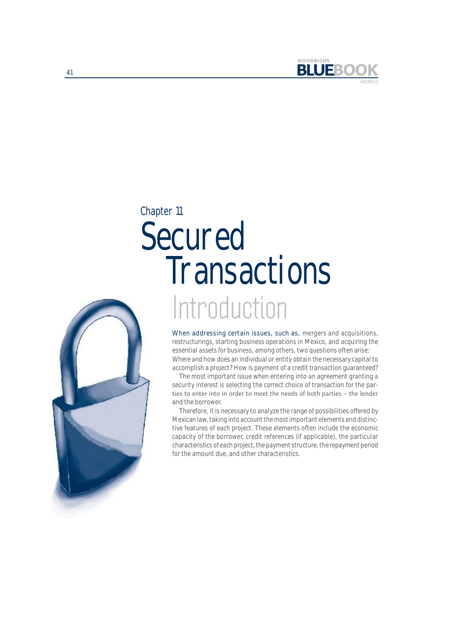

## Chapter 11

# Introduction Secured **Transactions**



When addressing certain issues, such as, mergers and acquisitions, restructurings, starting business operations in Mexico, and acquiring the essential assets for business, among others, two questions often arise: Where and how does an individual or entity obtain the necessary capital to accomplish a project? How is payment of a credit transaction guaranteed?

The most important issue when entering into an agreement granting a security interest is selecting the correct choice of transaction for the parties to enter into in order to meet the needs of both parties - the lender and the borrower.

Therefore, it is necessary to analyze the range of possibilities offered by Mexican law, taking into account the most important elements and distinctive features of each project. These elements often include the economic capacity of the borrower, credit references (if applicable), the particular characteristics of each project, the payment structure, the repayment period for the amount due, and other characteristics.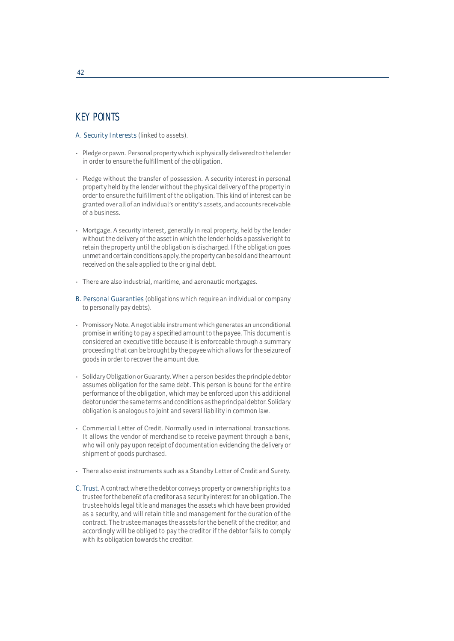## KEY POINTS

- A. Security Interests (linked to assets).
- Pledge or pawn. Personal property which is physically delivered to the lender in order to ensure the fulfillment of the obligation.
- Pledge without the transfer of possession. A security interest in personal property held by the lender without the physical delivery of the property in order to ensure the fulfillment of the obligation. This kind of interest can be granted over all of an individual's or entity's assets, and accounts receivable of a business.
- Mortgage. A security interest, generally in real property, held by the lender without the delivery of the asset in which the lender holds a passive right to retain the property until the obligation is discharged. If the obligation goes unmet and certain conditions apply, the property can be sold and the amount received on the sale applied to the original debt.
- There are also industrial, maritime, and aeronautic mortgages.
- B. Personal Guaranties (obligations which require an individual or company to personally pay debts).
- Promissory Note. A negotiable instrument which generates an unconditional promise in writing to pay a specified amount to the payee. This document is considered an executive title because it is enforceable through a summary proceeding that can be brought by the payee which allows for the seizure of goods in order to recover the amount due.
- Solidary Obligation or Guaranty. When a person besides the principle debtor assumes obligation for the same debt. This person is bound for the entire performance of the obligation, which may be enforced upon this additional debtor under the same terms and conditions as the principal debtor. Solidary obligation is analogous to joint and several liability in common law.
- Commercial Letter of Credit. Normally used in international transactions. It allows the vendor of merchandise to receive payment through a bank, who will only pay upon receipt of documentation evidencing the delivery or shipment of goods purchased.
- There also exist instruments such as a Standby Letter of Credit and Surety.
- C. Trust. A contract where the debtor conveys property or ownership rights to a trustee for the benefit of a creditor as a security interest for an obligation. The trustee holds legal title and manages the assets which have been provided as a security, and will retain title and management for the duration of the contract. The trustee manages the assets for the benefit of the creditor, and accordingly will be obliged to pay the creditor if the debtor fails to comply with its obligation towards the creditor.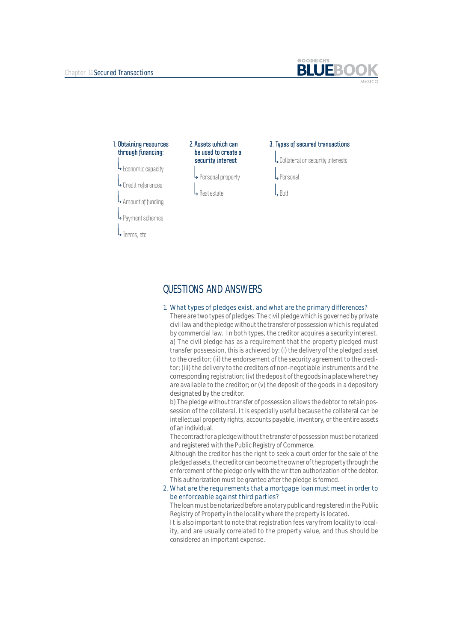



## QUESTIONS AND ANSWERS

#### 1. What types of pledges exist, and what are the primary differences?

There are two types of pledges: The civil pledge which is governed by private civil law and the pledge without the transfer of possession which is regulated by commercial law. In both types, the creditor acquires a security interest. a) The civil pledge has as a requirement that the property pledged must transfer possession, this is achieved by: (i) the delivery of the pledged asset to the creditor; (ii) the endorsement of the security agreement to the creditor; (iii) the delivery to the creditors of non-negotiable instruments and the corresponding registration; (iv) the deposit of the goods in a place where they are available to the creditor; or (v) the deposit of the goods in a depository designated by the creditor.

b) The pledge without transfer of possession allows the debtor to retain possession of the collateral. It is especially useful because the collateral can be intellectual property rights, accounts payable, inventory, or the entire assets of an individual.

The contract for a pledge without the transfer of possession must be notarized and registered with the Public Registry of Commerce.

Although the creditor has the right to seek a court order for the sale of the pledged assets, the creditor can become the owner of the property through the enforcement of the pledge only with the written authorization of the debtor. This authorization must be granted after the pledge is formed.

#### 2. What are the requirements that a mortgage loan must meet in order to be enforceable against third parties?

The loan must be notarized before a notary public and registered in the Public Registry of Property in the locality where the property is located.

It is also important to note that registration fees vary from locality to locality, and are usually correlated to the property value, and thus should be considered an important expense.